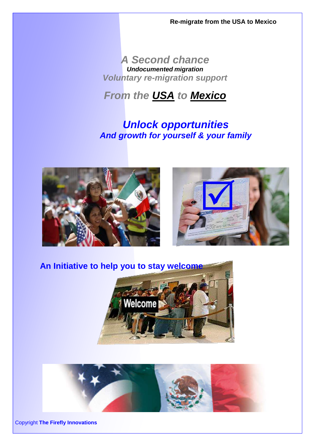**Re-migrate from the USA to Mexico**

## *A Second chance Undocumented migration Voluntary re-migration support*

# *From the USA to Mexico*

## *Unlock opportunities And growth for yourself & your family*









Copyright **The Firefly Innovations**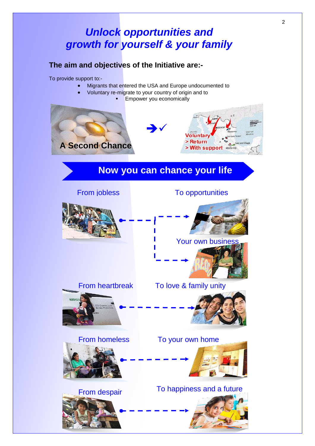## *Unlock opportunities and growth for yourself & your family*

2

### **The aim and objectives of the Initiative are:-**

To provide support to:-

- Migrants that entered the USA and Europe undocumented to
- Voluntary re-migrate to your country of origin and to
	- **Empower you economically**



## **Now you can chance your life**